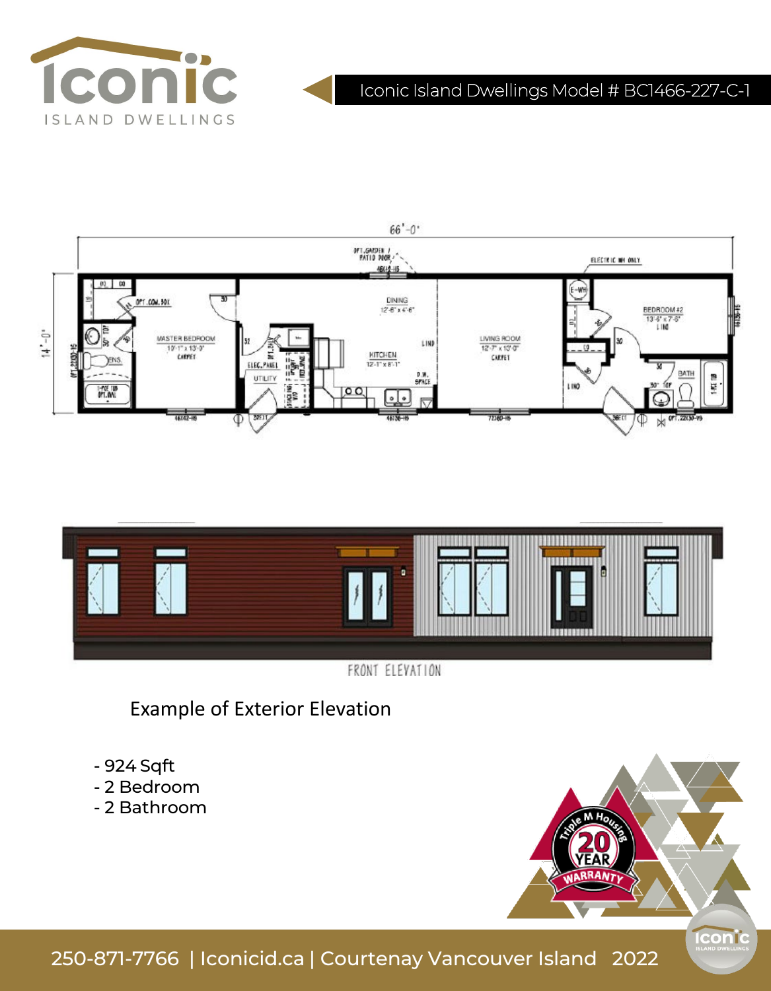

# Iconic Island Dwellings Model # BC1466-227-C-1





Example of Exterior Elevation

- 924 Sqft
- 2 Bedroom
- 2 Bathroom



250-871-7766 | Iconicid.ca | Courtenay Vancouver Island 2022